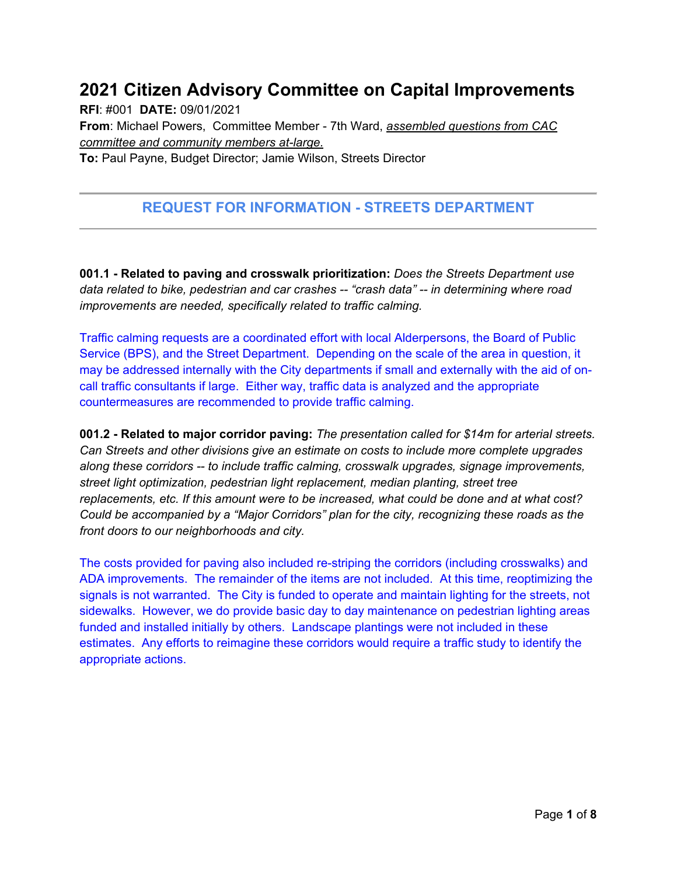## **2021 Citizen Advisory Committee on Capital Improvements**

**RFI**: #001 **DATE:** 09/01/2021 **From**: Michael Powers, Committee Member - 7th Ward, *assembled questions from CAC committee and community members at-large.* 

**To:** Paul Payne, Budget Director; Jamie Wilson, Streets Director

## **REQUEST FOR INFORMATION - STREETS DEPARTMENT**

**001.1 - Related to paving and crosswalk prioritization:** *Does the Streets Department use data related to bike, pedestrian and car crashes -- "crash data" -- in determining where road improvements are needed, specifically related to traffic calming.* 

Traffic calming requests are a coordinated effort with local Alderpersons, the Board of Public Service (BPS), and the Street Department. Depending on the scale of the area in question, it may be addressed internally with the City departments if small and externally with the aid of oncall traffic consultants if large. Either way, traffic data is analyzed and the appropriate countermeasures are recommended to provide traffic calming.

**001.2 - Related to major corridor paving:** *The presentation called for \$14m for arterial streets. Can Streets and other divisions give an estimate on costs to include more complete upgrades along these corridors -- to include traffic calming, crosswalk upgrades, signage improvements, street light optimization, pedestrian light replacement, median planting, street tree replacements, etc. If this amount were to be increased, what could be done and at what cost? Could be accompanied by a "Major Corridors" plan for the city, recognizing these roads as the front doors to our neighborhoods and city.* 

The costs provided for paving also included re-striping the corridors (including crosswalks) and ADA improvements. The remainder of the items are not included. At this time, reoptimizing the signals is not warranted. The City is funded to operate and maintain lighting for the streets, not sidewalks. However, we do provide basic day to day maintenance on pedestrian lighting areas funded and installed initially by others. Landscape plantings were not included in these estimates. Any efforts to reimagine these corridors would require a traffic study to identify the appropriate actions.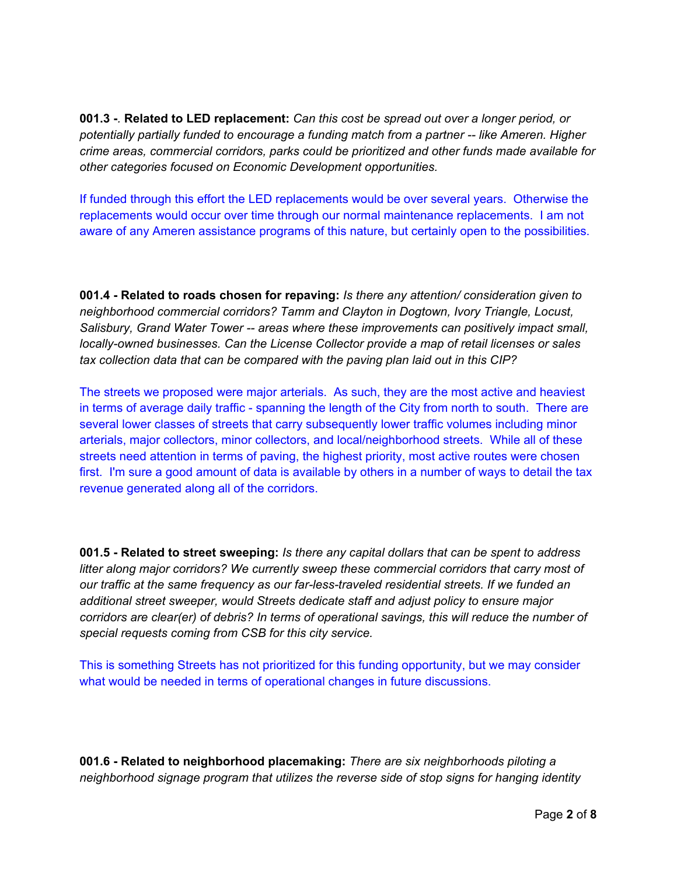**001.3 -***.* **Related to LED replacement:** *Can this cost be spread out over a longer period, or potentially partially funded to encourage a funding match from a partner -- like Ameren. Higher crime areas, commercial corridors, parks could be prioritized and other funds made available for other categories focused on Economic Development opportunities.* 

If funded through this effort the LED replacements would be over several years. Otherwise the replacements would occur over time through our normal maintenance replacements. I am not aware of any Ameren assistance programs of this nature, but certainly open to the possibilities.

**001.4 - Related to roads chosen for repaving:** *Is there any attention/ consideration given to neighborhood commercial corridors? Tamm and Clayton in Dogtown, Ivory Triangle, Locust, Salisbury, Grand Water Tower -- areas where these improvements can positively impact small, locally-owned businesses. Can the License Collector provide a map of retail licenses or sales tax collection data that can be compared with the paving plan laid out in this CIP?* 

The streets we proposed were major arterials. As such, they are the most active and heaviest in terms of average daily traffic - spanning the length of the City from north to south. There are several lower classes of streets that carry subsequently lower traffic volumes including minor arterials, major collectors, minor collectors, and local/neighborhood streets. While all of these streets need attention in terms of paving, the highest priority, most active routes were chosen first. I'm sure a good amount of data is available by others in a number of ways to detail the tax revenue generated along all of the corridors.

**001.5 - Related to street sweeping:** *Is there any capital dollars that can be spent to address litter along major corridors? We currently sweep these commercial corridors that carry most of our traffic at the same frequency as our far-less-traveled residential streets. If we funded an additional street sweeper, would Streets dedicate staff and adjust policy to ensure major corridors are clear(er) of debris? In terms of operational savings, this will reduce the number of special requests coming from CSB for this city service.* 

This is something Streets has not prioritized for this funding opportunity, but we may consider what would be needed in terms of operational changes in future discussions.

**001.6 - Related to neighborhood placemaking:** *There are six neighborhoods piloting a neighborhood signage program that utilizes the reverse side of stop signs for hanging identity*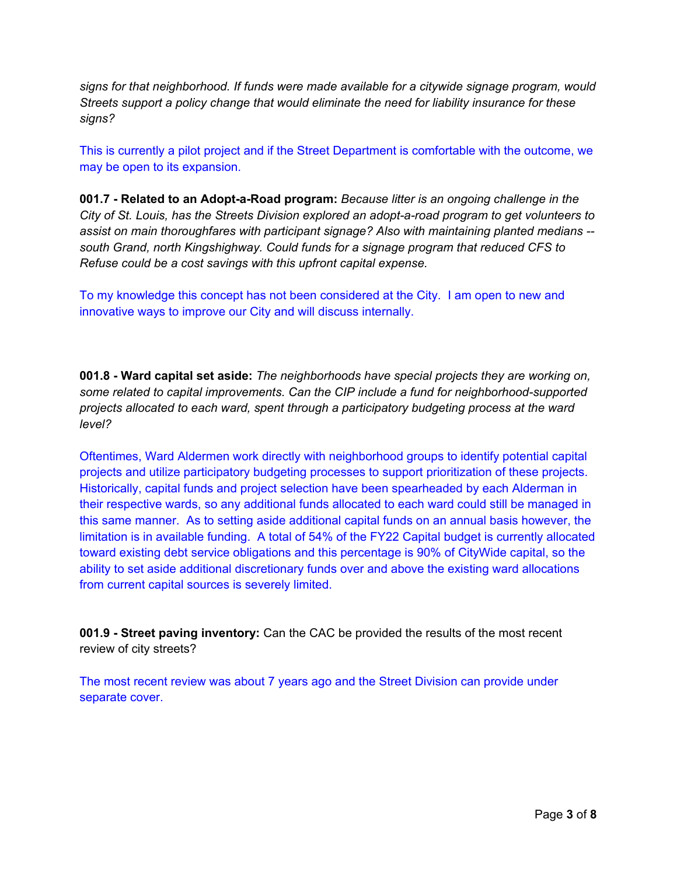*signs for that neighborhood. If funds were made available for a citywide signage program, would Streets support a policy change that would eliminate the need for liability insurance for these signs?* 

This is currently a pilot project and if the Street Department is comfortable with the outcome, we may be open to its expansion.

**001.7 - Related to an Adopt-a-Road program:** *Because litter is an ongoing challenge in the City of St. Louis, has the Streets Division explored an adopt-a-road program to get volunteers to assist on main thoroughfares with participant signage? Also with maintaining planted medians - south Grand, north Kingshighway. Could funds for a signage program that reduced CFS to Refuse could be a cost savings with this upfront capital expense.* 

To my knowledge this concept has not been considered at the City. I am open to new and innovative ways to improve our City and will discuss internally.

**001.8 - Ward capital set aside:** *The neighborhoods have special projects they are working on, some related to capital improvements. Can the CIP include a fund for neighborhood-supported projects allocated to each ward, spent through a participatory budgeting process at the ward level?* 

Oftentimes, Ward Aldermen work directly with neighborhood groups to identify potential capital projects and utilize participatory budgeting processes to support prioritization of these projects. Historically, capital funds and project selection have been spearheaded by each Alderman in their respective wards, so any additional funds allocated to each ward could still be managed in this same manner. As to setting aside additional capital funds on an annual basis however, the limitation is in available funding. A total of 54% of the FY22 Capital budget is currently allocated toward existing debt service obligations and this percentage is 90% of CityWide capital, so the ability to set aside additional discretionary funds over and above the existing ward allocations from current capital sources is severely limited.

**001.9 - Street paving inventory:** Can the CAC be provided the results of the most recent review of city streets?

The most recent review was about 7 years ago and the Street Division can provide under separate cover.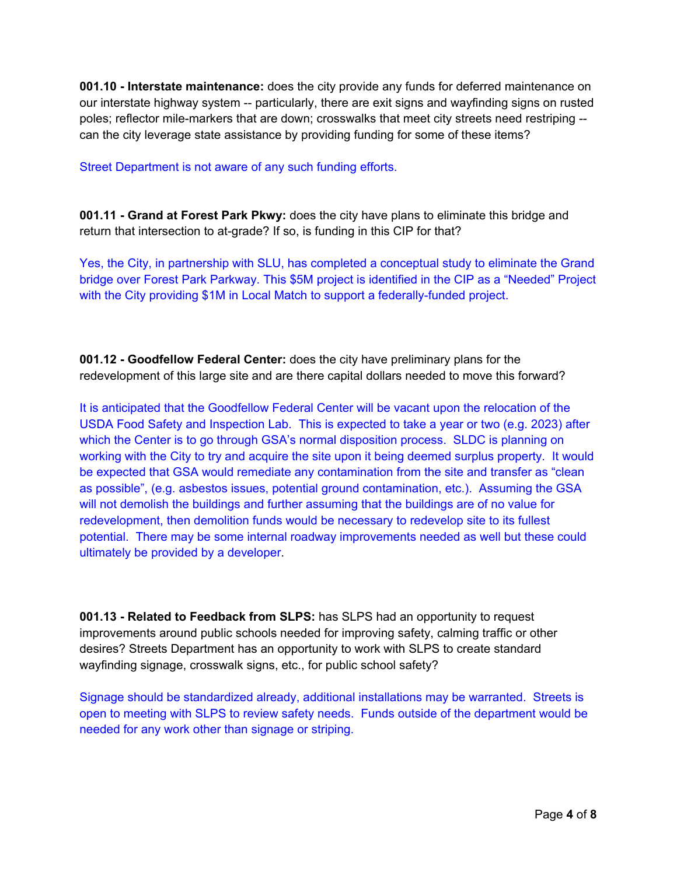**001.10 - Interstate maintenance:** does the city provide any funds for deferred maintenance on our interstate highway system -- particularly, there are exit signs and wayfinding signs on rusted poles; reflector mile-markers that are down; crosswalks that meet city streets need restriping - can the city leverage state assistance by providing funding for some of these items?

Street Department is not aware of any such funding efforts.

**001.11 - Grand at Forest Park Pkwy:** does the city have plans to eliminate this bridge and return that intersection to at-grade? If so, is funding in this CIP for that?

Yes, the City, in partnership with SLU, has completed a conceptual study to eliminate the Grand bridge over Forest Park Parkway. This \$5M project is identified in the CIP as a "Needed" Project with the City providing \$1M in Local Match to support a federally-funded project.

**001.12 - Goodfellow Federal Center:** does the city have preliminary plans for the redevelopment of this large site and are there capital dollars needed to move this forward?

It is anticipated that the Goodfellow Federal Center will be vacant upon the relocation of the USDA Food Safety and Inspection Lab. This is expected to take a year or two (e.g. 2023) after which the Center is to go through GSA's normal disposition process. SLDC is planning on working with the City to try and acquire the site upon it being deemed surplus property. It would be expected that GSA would remediate any contamination from the site and transfer as "clean as possible", (e.g. asbestos issues, potential ground contamination, etc.). Assuming the GSA will not demolish the buildings and further assuming that the buildings are of no value for redevelopment, then demolition funds would be necessary to redevelop site to its fullest potential. There may be some internal roadway improvements needed as well but these could ultimately be provided by a developer.

**001.13 - Related to Feedback from SLPS:** has SLPS had an opportunity to request improvements around public schools needed for improving safety, calming traffic or other desires? Streets Department has an opportunity to work with SLPS to create standard wayfinding signage, crosswalk signs, etc., for public school safety?

Signage should be standardized already, additional installations may be warranted. Streets is open to meeting with SLPS to review safety needs. Funds outside of the department would be needed for any work other than signage or striping.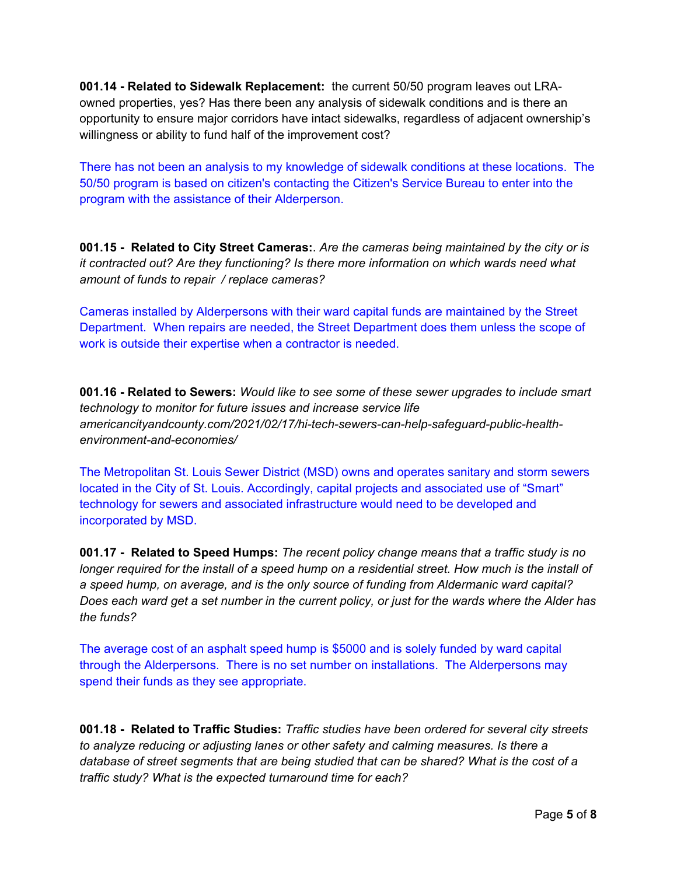**001.14 - Related to Sidewalk Replacement:** the current 50/50 program leaves out LRAowned properties, yes? Has there been any analysis of sidewalk conditions and is there an opportunity to ensure major corridors have intact sidewalks, regardless of adjacent ownership's willingness or ability to fund half of the improvement cost?

There has not been an analysis to my knowledge of sidewalk conditions at these locations. The 50/50 program is based on citizen's contacting the Citizen's Service Bureau to enter into the program with the assistance of their Alderperson.

**001.15 - Related to City Street Cameras:**. *Are the cameras being maintained by the city or is it contracted out? Are they functioning? Is there more information on which wards need what amount of funds to repair / replace cameras?*

Cameras installed by Alderpersons with their ward capital funds are maintained by the Street Department. When repairs are needed, the Street Department does them unless the scope of work is outside their expertise when a contractor is needed.

**001.16 - Related to Sewers:** *Would like to see some of these sewer upgrades to include smart technology to monitor for future issues and increase service life americancityandcounty.com/2021/02/17/hi-tech-sewers-can-help-safeguard-public-healthenvironment-and-economies/* 

The Metropolitan St. Louis Sewer District (MSD) owns and operates sanitary and storm sewers located in the City of St. Louis. Accordingly, capital projects and associated use of "Smart" technology for sewers and associated infrastructure would need to be developed and incorporated by MSD.

**001.17 - Related to Speed Humps:** *The recent policy change means that a traffic study is no longer required for the install of a speed hump on a residential street. How much is the install of a speed hump, on average, and is the only source of funding from Aldermanic ward capital? Does each ward get a set number in the current policy, or just for the wards where the Alder has the funds?* 

The average cost of an asphalt speed hump is \$5000 and is solely funded by ward capital through the Alderpersons. There is no set number on installations. The Alderpersons may spend their funds as they see appropriate.

**001.18 - Related to Traffic Studies:** *Traffic studies have been ordered for several city streets to analyze reducing or adjusting lanes or other safety and calming measures. Is there a database of street segments that are being studied that can be shared? What is the cost of a traffic study? What is the expected turnaround time for each?*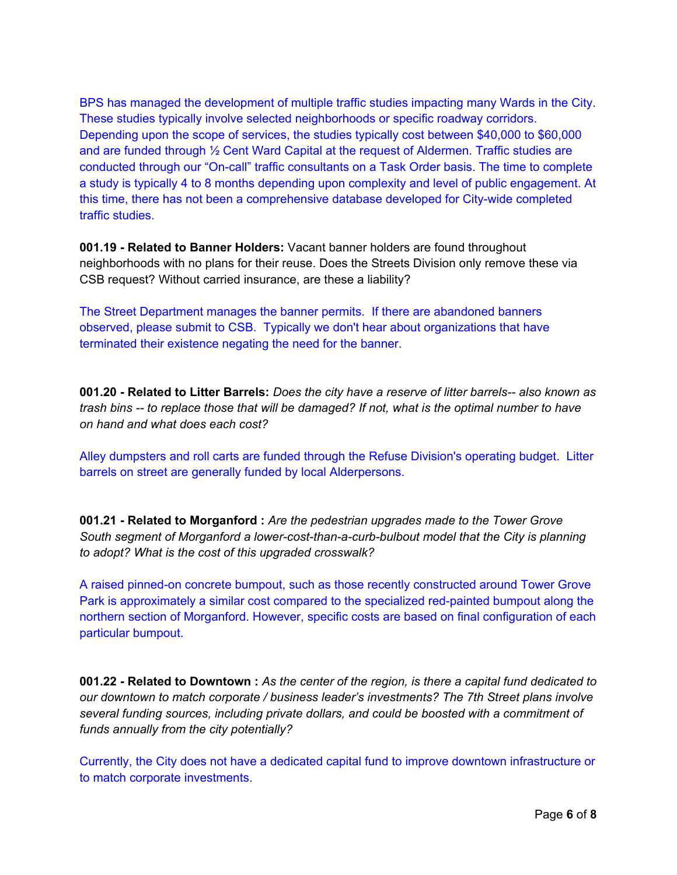BPS has managed the development of multiple traffic studies impacting many Wards in the City. These studies typically involve selected neighborhoods or specific roadway corridors. Depending upon the scope of services, the studies typically cost between \$40,000 to \$60,000 and are funded through  $\frac{1}{2}$  Cent Ward Capital at the request of Aldermen. Traffic studies are conducted through our "On-call" traffic consultants on a Task Order basis. The time to complete a study is typically 4 to 8 months depending upon complexity and level of public engagement. At this time, there has not been a comprehensive database developed for City-wide completed traffic studies.

**001.19 - Related to Banner Holders:** Vacant banner holders are found throughout neighborhoods with no plans for their reuse. Does the Streets Division only remove these via CSB request? Without carried insurance, are these a liability?

The Street Department manages the banner permits. If there are abandoned banners observed, please submit to CSB. Typically we don't hear about organizations that have terminated their existence negating the need for the banner.

**001.20 - Related to Litter Barrels:** *Does the city have a reserve of litter barrels-- also known as trash bins -- to replace those that will be damaged? If not, what is the optimal number to have on hand and what does each cost?* 

Alley dumpsters and roll carts are funded through the Refuse Division's operating budget. Litter barrels on street are generally funded by local Alderpersons.

**001.21 - Related to Morganford :** *Are the pedestrian upgrades made to the Tower Grove South segment of Morganford a lower-cost-than-a-curb-bulbout model that the City is planning to adopt? What is the cost of this upgraded crosswalk?* 

A raised pinned-on concrete bumpout, such as those recently constructed around Tower Grove Park is approximately a similar cost compared to the specialized red-painted bumpout along the northern section of Morganford. However, specific costs are based on final configuration of each particular bumpout.

**001.22 - Related to Downtown :** *As the center of the region, is there a capital fund dedicated to our downtown to match corporate / business leader's investments? The 7th Street plans involve several funding sources, including private dollars, and could be boosted with a commitment of funds annually from the city potentially?* 

Currently, the City does not have a dedicated capital fund to improve downtown infrastructure or to match corporate investments.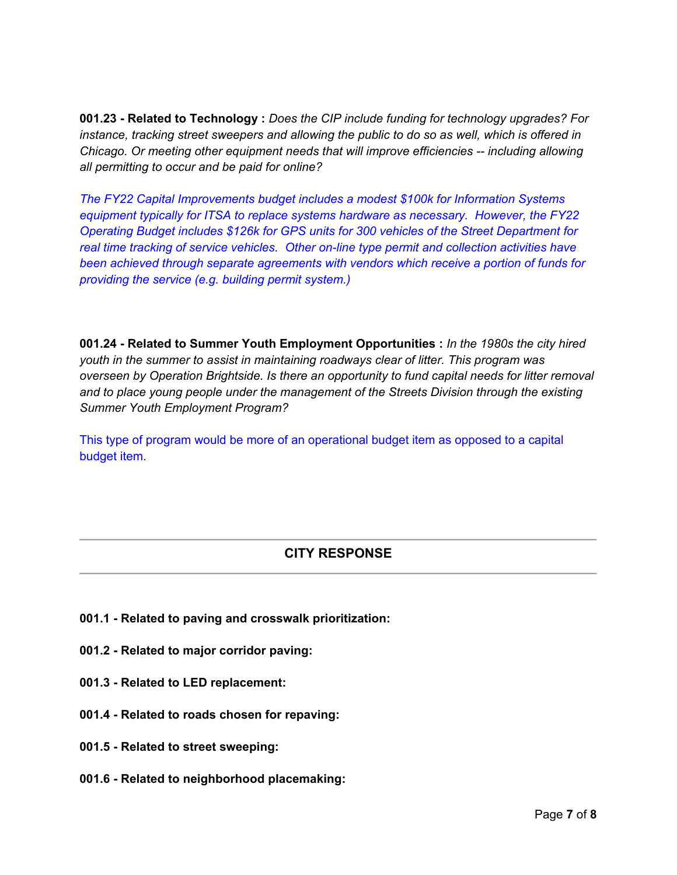**001.23 - Related to Technology :** *Does the CIP include funding for technology upgrades? For instance, tracking street sweepers and allowing the public to do so as well, which is offered in Chicago. Or meeting other equipment needs that will improve efficiencies -- including allowing all permitting to occur and be paid for online?* 

*The FY22 Capital Improvements budget includes a modest \$100k for Information Systems equipment typically for ITSA to replace systems hardware as necessary. However, the FY22 Operating Budget includes \$126k for GPS units for 300 vehicles of the Street Department for real time tracking of service vehicles. Other on-line type permit and collection activities have been achieved through separate agreements with vendors which receive a portion of funds for providing the service (e.g. building permit system.)* 

**001.24 - Related to Summer Youth Employment Opportunities :** *In the 1980s the city hired youth in the summer to assist in maintaining roadways clear of litter. This program was overseen by Operation Brightside. Is there an opportunity to fund capital needs for litter removal and to place young people under the management of the Streets Division through the existing Summer Youth Employment Program?* 

This type of program would be more of an operational budget item as opposed to a capital budget item.

## **CITY RESPONSE**

- **001.1 Related to paving and crosswalk prioritization:**
- **001.2 Related to major corridor paving:**
- **001.3 Related to LED replacement:**
- **001.4 Related to roads chosen for repaving:**
- **001.5 Related to street sweeping:**
- **001.6 Related to neighborhood placemaking:**